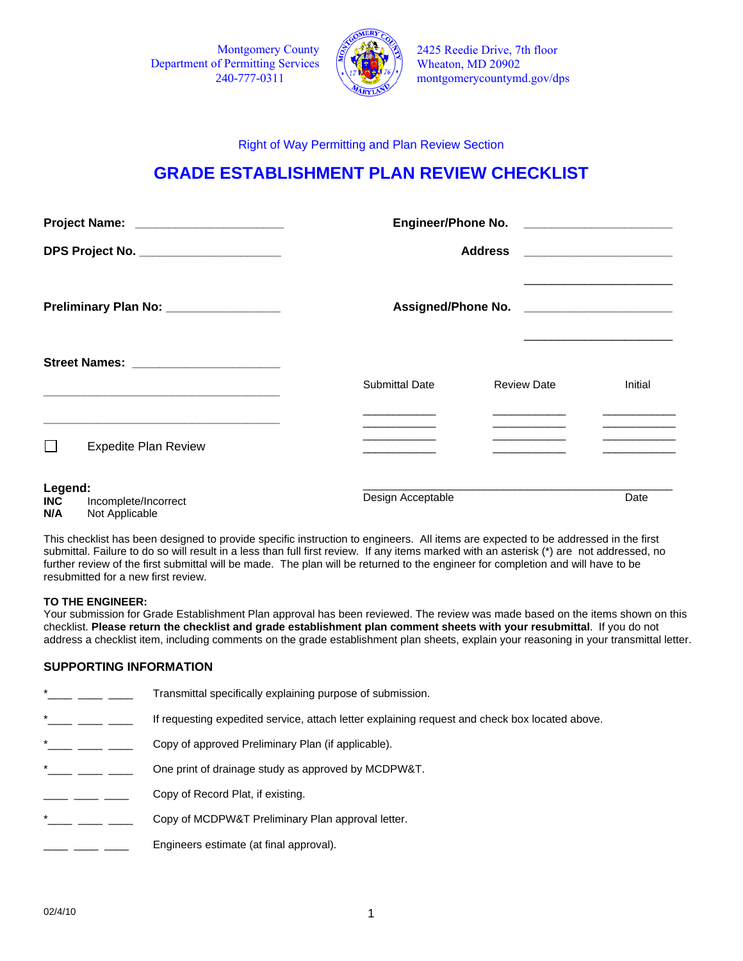Montgomery County Department of Permitting Services 240-777-0311



2425 Reedie Drive, 7th floor Wheaton, MD 20902 montgomerycountymd.gov/dps

## Right of Way Permitting and Plan Review Section

# **GRADE ESTABLISHMENT PLAN REVIEW CHECKLIST**

| Project Name: ________________________<br>DPS Project No. ______________________<br>Preliminary Plan No: _________________ |                             |                   |                                                                                                                                                                                                                                      |                                       |
|----------------------------------------------------------------------------------------------------------------------------|-----------------------------|-------------------|--------------------------------------------------------------------------------------------------------------------------------------------------------------------------------------------------------------------------------------|---------------------------------------|
|                                                                                                                            |                             |                   |                                                                                                                                                                                                                                      |                                       |
|                                                                                                                            |                             |                   |                                                                                                                                                                                                                                      |                                       |
|                                                                                                                            |                             |                   |                                                                                                                                                                                                                                      |                                       |
|                                                                                                                            |                             | Submittal Date    | <b>Review Date</b>                                                                                                                                                                                                                   | Initial                               |
|                                                                                                                            |                             |                   | <u> De Santa Company de la propincia de la propincia de la propincia de la propincia de la propincia de la propincia de la propincia de la propincia de la propincia de la propincia de la propincia de la propincia de la propi</u> | and the control of the control of the |
| $\mathbf{I}$                                                                                                               | <b>Expedite Plan Review</b> |                   | <u> 1980 - Jan Alexandro III, populație de la provincia de la provincia de la provincia de la provincia de la pro</u>                                                                                                                |                                       |
| Legend:<br><b>INC</b>                                                                                                      | Incomplete/Incorrect        | Design Acceptable |                                                                                                                                                                                                                                      | Date                                  |
| N/A                                                                                                                        | Not Applicable              |                   |                                                                                                                                                                                                                                      |                                       |

This checklist has been designed to provide specific instruction to engineers. All items are expected to be addressed in the first submittal. Failure to do so will result in a less than full first review. If any items marked with an asterisk (\*) are not addressed, no further review of the first submittal will be made. The plan will be returned to the engineer for completion and will have to be resubmitted for a new first review.

#### **TO THE ENGINEER:**

Your submission for Grade Establishment Plan approval has been reviewed. The review was made based on the items shown on this checklist. **Please return the checklist and grade establishment plan comment sheets with your resubmittal**. If you do not address a checklist item, including comments on the grade establishment plan sheets, explain your reasoning in your transmittal letter.

#### **SUPPORTING INFORMATION**

| $\star$ | Transmittal specifically explaining purpose of submission.                                     |
|---------|------------------------------------------------------------------------------------------------|
| $\star$ | If requesting expedited service, attach letter explaining request and check box located above. |
| $\star$ | Copy of approved Preliminary Plan (if applicable).                                             |
| $\ast$  | One print of drainage study as approved by MCDPW&T.                                            |
|         | Copy of Record Plat, if existing.                                                              |
| $\ast$  | Copy of MCDPW&T Preliminary Plan approval letter.                                              |
|         | Engineers estimate (at final approval).                                                        |
|         |                                                                                                |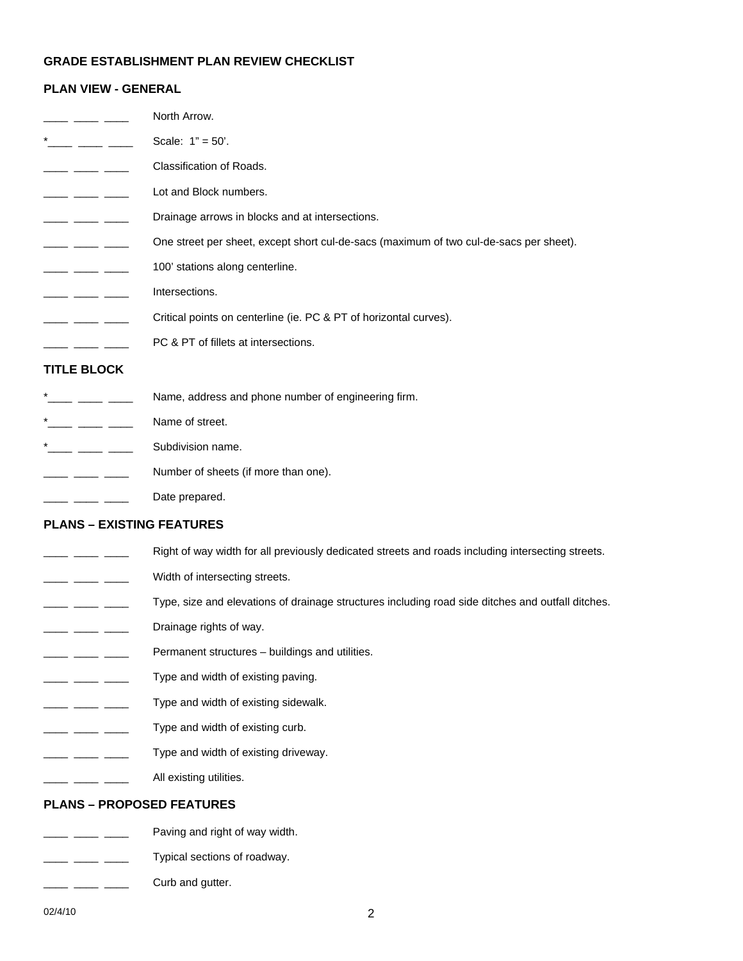# **GRADE ESTABLISHMENT PLAN REVIEW CHECKLIST**

## **PLAN VIEW - GENERAL**

|                    | North Arrow.                                                                           |
|--------------------|----------------------------------------------------------------------------------------|
| $\star$            | Scale: $1" = 50'.$                                                                     |
|                    | Classification of Roads.                                                               |
|                    | Lot and Block numbers.                                                                 |
|                    | Drainage arrows in blocks and at intersections.                                        |
|                    | One street per sheet, except short cul-de-sacs (maximum of two cul-de-sacs per sheet). |
|                    | 100' stations along centerline.                                                        |
|                    | Intersections.                                                                         |
|                    | Critical points on centerline (ie. PC & PT of horizontal curves).                      |
|                    | PC & PT of fillets at intersections.                                                   |
| <b>TITLE BLOCK</b> |                                                                                        |
| $^\star$           | Name, address and phone number of engineering firm.                                    |
| *                  | Name of street.                                                                        |

- $*$ <sub>\_\_\_\_</sub> \_\_\_\_\_ \_\_\_\_\_ Subdivision name.
	- \_ \_\_\_ \_\_\_ Number of sheets (if more than one).
- $\overline{\phantom{a}}$  \_\_\_\_  $\overline{\phantom{a}}$  Date prepared.

### **PLANS – EXISTING FEATURES**

- $\Box$  \_\_\_\_ \_\_\_ Right of way width for all previously dedicated streets and roads including intersecting streets.
- \_ \_\_\_ \_\_\_ Width of intersecting streets.
- <sup>1</sup> \_\_\_\_ \_\_\_ Type, size and elevations of drainage structures including road side ditches and outfall ditches.
- \_\_ \_\_\_\_ \_\_\_\_ Drainage rights of way.
- $\frac{1}{1}$   $\frac{1}{1}$   $\frac{1}{1}$  Permanent structures buildings and utilities.
	- $\frac{1}{2}$   $\frac{1}{2}$   $\frac{1}{2}$  Type and width of existing paving.
- $\frac{1}{2}$   $\frac{1}{2}$   $\frac{1}{2}$  Type and width of existing sidewalk.
	- \_ \_\_\_\_ \_\_\_ Type and width of existing curb.
	- \_\_\_\_\_ \_\_\_\_ Type and width of existing driveway.
- \_\_\_\_ \_\_\_\_ \_\_\_\_ All existing utilities.

# **PLANS – PROPOSED FEATURES**

- \_ \_\_\_ \_\_\_ Paving and right of way width.
- \_ \_\_\_\_ \_\_\_\_ Typical sections of roadway.
	- $\frac{1}{2}$   $\frac{1}{2}$   $\frac{1}{2}$  Curb and gutter.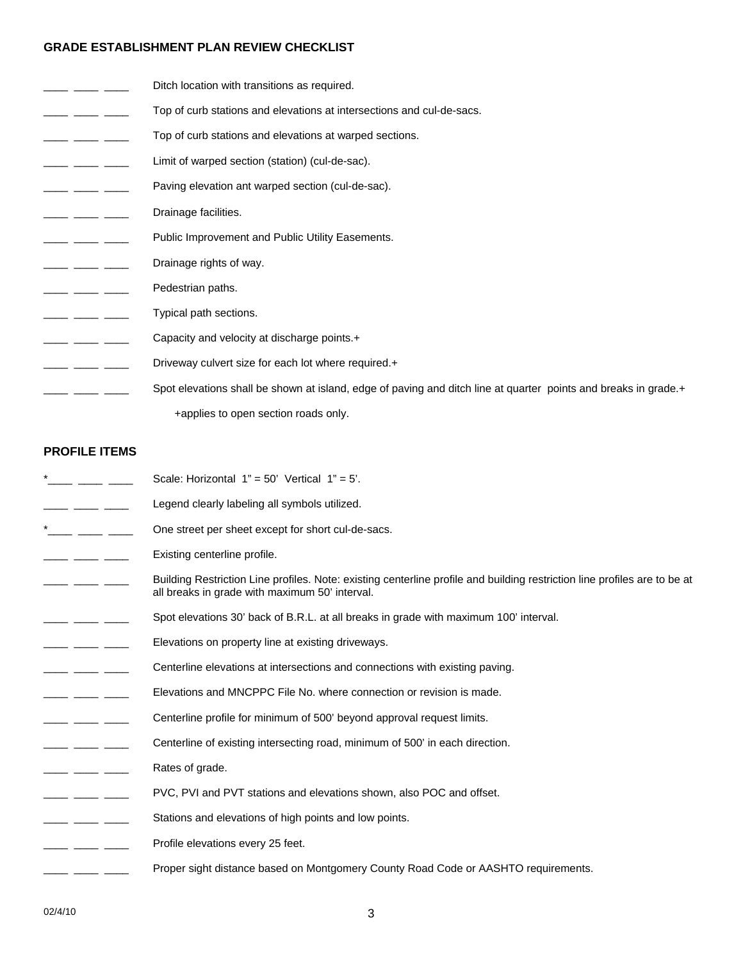# **GRADE ESTABLISHMENT PLAN REVIEW CHECKLIST**

| Ditch location with transitions as required.                                                                    |
|-----------------------------------------------------------------------------------------------------------------|
| Top of curb stations and elevations at intersections and cul-de-sacs.                                           |
| Top of curb stations and elevations at warped sections.                                                         |
| Limit of warped section (station) (cul-de-sac).                                                                 |
| Paving elevation ant warped section (cul-de-sac).                                                               |
| Drainage facilities.                                                                                            |
| Public Improvement and Public Utility Easements.                                                                |
| Drainage rights of way.                                                                                         |
| Pedestrian paths.                                                                                               |
| Typical path sections.                                                                                          |
| Capacity and velocity at discharge points.+                                                                     |
| Driveway culvert size for each lot where required.+                                                             |
| Spot elevations shall be shown at island, edge of paving and ditch line at quarter points and breaks in grade.+ |
| +applies to open section roads only.                                                                            |

# **PROFILE ITEMS**

| Scale: Horizontal $1" = 50'$ Vertical $1" = 5'$ .                                                                                                                           |
|-----------------------------------------------------------------------------------------------------------------------------------------------------------------------------|
| Legend clearly labeling all symbols utilized.                                                                                                                               |
| One street per sheet except for short cul-de-sacs.                                                                                                                          |
| Existing centerline profile.                                                                                                                                                |
| Building Restriction Line profiles. Note: existing centerline profile and building restriction line profiles are to be at<br>all breaks in grade with maximum 50' interval. |
| Spot elevations 30' back of B.R.L. at all breaks in grade with maximum 100' interval.                                                                                       |
| Elevations on property line at existing driveways.                                                                                                                          |
| Centerline elevations at intersections and connections with existing paving.                                                                                                |
| Elevations and MNCPPC File No. where connection or revision is made.                                                                                                        |
| Centerline profile for minimum of 500' beyond approval request limits.                                                                                                      |
| Centerline of existing intersecting road, minimum of 500' in each direction.                                                                                                |
| Rates of grade.                                                                                                                                                             |
| PVC, PVI and PVT stations and elevations shown, also POC and offset.                                                                                                        |
| Stations and elevations of high points and low points.                                                                                                                      |
| Profile elevations every 25 feet.                                                                                                                                           |
| Proper sight distance based on Montgomery County Road Code or AASHTO requirements.                                                                                          |